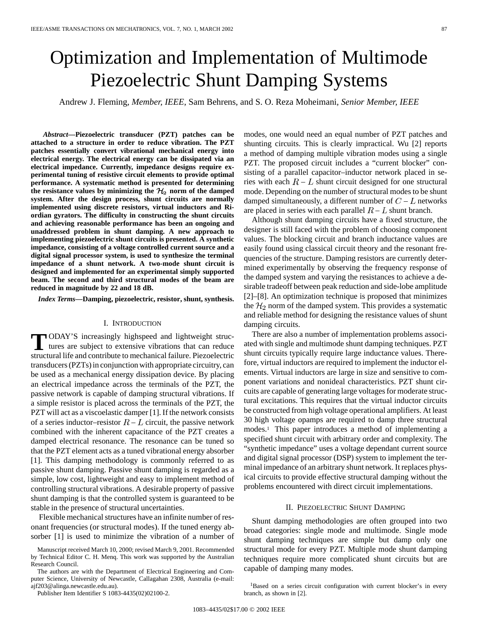# Optimization and Implementation of Multimode Piezoelectric Shunt Damping Systems

Andrew J. Fleming*, Member, IEEE*, Sam Behrens, and S. O. Reza Moheimani*, Senior Member, IEEE*

*Abstract—***Piezoelectric transducer (PZT) patches can be attached to a structure in order to reduce vibration. The PZT patches essentially convert vibrational mechanical energy into electrical energy. The electrical energy can be dissipated via an electrical impedance. Currently, impedance designs require experimental tuning of resistive circuit elements to provide optimal performance. A systematic method is presented for determining** the resistance values by minimizing the  $\mathcal{H}_2$  norm of the damped **system. After the design process, shunt circuits are normally implemented using discrete resistors, virtual inductors and Riordian gyrators. The difficulty in constructing the shunt circuits and achieving reasonable performance has been an ongoing and unaddressed problem in shunt damping. A new approach to implementing piezoelectric shunt circuits is presented. A synthetic impedance, consisting of a voltage controlled current source and a digital signal processor system, is used to synthesize the terminal impedance of a shunt network. A two-mode shunt circuit is designed and implemented for an experimental simply supported beam. The second and third structural modes of the beam are reduced in magnitude by 22 and 18 dB.**

*Index Terms—***Damping, piezoelectric, resistor, shunt, synthesis.**

#### I. INTRODUCTION

TODAY'S increasingly highspeed and lightweight structures are subject to extensive vibrations that can reduce structural life and contribute to mechanical failure. Piezoelectric transducers (PZTs) in conjunction with appropriate circuitry, can be used as a mechanical energy dissipation device. By placing an electrical impedance across the terminals of the PZT, the passive network is capable of damping structural vibrations. If a simple resistor is placed across the terminals of the PZT, the PZT will act as a viscoelastic damper [1]. If the network consists of a series inductor–resistor  $R - L$  circuit, the passive network combined with the inherent capacitance of the PZT creates a damped electrical resonance. The resonance can be tuned so that the PZT element acts as a tuned vibrational energy absorber [1]. This damping methodology is commonly referred to as passive shunt damping. Passive shunt damping is regarded as a simple, low cost, lightweight and easy to implement method of controlling structural vibrations. A desirable property of passive shunt damping is that the controlled system is guaranteed to be stable in the presence of structural uncertainties.

Flexible mechanical structures have an infinite number of resonant frequencies (or structural modes). If the tuned energy absorber [1] is used to minimize the vibration of a number of

The authors are with the Department of Electrical Engineering and Computer Science, University of Newcastle, Callagahan 2308, Australia (e-mail: ajf203@alinga.newcastle.edu.au).

Publisher Item Identifier S 1083-4435(02)02100-2.

modes, one would need an equal number of PZT patches and shunting circuits. This is clearly impractical. Wu [2] reports a method of damping multiple vibration modes using a single PZT. The proposed circuit includes a "current blocker" consisting of a parallel capacitor–inductor network placed in series with each  $R - L$  shunt circuit designed for one structural mode. Depending on the number of structural modes to be shunt damped simultaneously, a different number of  $C - L$  networks are placed in series with each parallel  $R - L$  shunt branch.

Although shunt damping circuits have a fixed structure, the designer is still faced with the problem of choosing component values. The blocking circuit and branch inductance values are easily found using classical circuit theory and the resonant frequencies of the structure. Damping resistors are currently determined experimentally by observing the frequency response of the damped system and varying the resistances to achieve a desirable tradeoff between peak reduction and side-lobe amplitude [2]–[8]. An optimization technique is proposed that minimizes the  $\mathcal{H}_2$  norm of the damped system. This provides a systematic and reliable method for designing the resistance values of shunt damping circuits.

There are also a number of implementation problems associated with single and multimode shunt damping techniques. PZT shunt circuits typically require large inductance values. Therefore, virtual inductors are required to implement the inductor elements. Virtual inductors are large in size and sensitive to component variations and nonideal characteristics. PZT shunt circuits are capable of generating large voltages for moderate structural excitations. This requires that the virtual inductor circuits be constructed from high voltage operational amplifiers. At least 30 high voltage opamps are required to damp three structural modes.1 This paper introduces a method of implementing a specified shunt circuit with arbitrary order and complexity. The "synthetic impedance" uses a voltage dependant current source and digital signal processor (DSP) system to implement the terminal impedance of an arbitrary shunt network. It replaces physical circuits to provide effective structural damping without the problems encountered with direct circuit implementations.

## II. PIEZOELECTRIC SHUNT DAMPING

Shunt damping methodologies are often grouped into two broad categories: single mode and multimode. Single mode shunt damping techniques are simple but damp only one structural mode for every PZT. Multiple mode shunt damping techniques require more complicated shunt circuits but are capable of damping many modes.

Manuscript received March 10, 2000; revised March 9, 2001. Recommended by Technical Editor C. H. Menq. This work was supported by the Australian Research Council.

<sup>&</sup>lt;sup>1</sup>Based on a series circuit configuration with current blocker's in every branch, as shown in [2].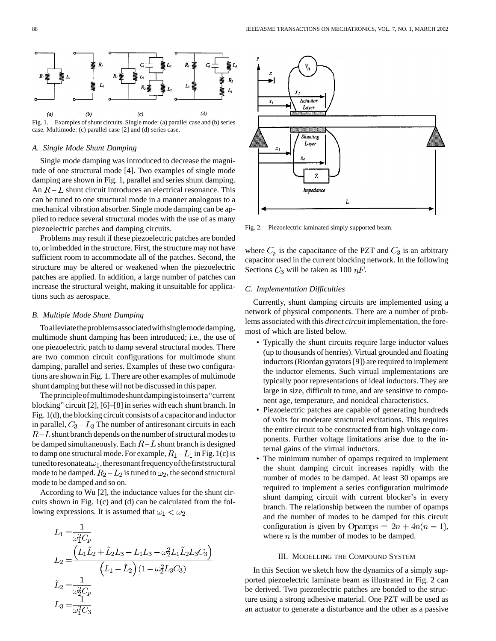

case. Multimode: (c) parallel case [2] and (d) series case.

#### *A. Single Mode Shunt Damping*

Single mode damping was introduced to decrease the magnitude of one structural mode [4]. Two examples of single mode damping are shown in Fig. 1, parallel and series shunt damping. An  $R-L$  shunt circuit introduces an electrical resonance. This can be tuned to one structural mode in a manner analogous to a mechanical vibration absorber. Single mode damping can be applied to reduce several structural modes with the use of as many piezoelectric patches and damping circuits.

Problems may result if these piezoelectric patches are bonded to, or imbedded in the structure. First, the structure may not have sufficient room to accommodate all of the patches. Second, the structure may be altered or weakened when the piezoelectric patches are applied. In addition, a large number of patches can increase the structural weight, making it unsuitable for applications such as aerospace.

## *B. Multiple Mode Shunt Damping*

Toalleviatetheproblemsassociatedwithsinglemodedamping, multimode shunt damping has been introduced; i.e., the use of one piezoelectric patch to damp several structural modes. There are two common circuit configurations for multimode shunt damping, parallel and series. Examples of these two configurations are shown in Fig. 1. There are other examples of multimode shunt damping but these will not be discussed in this paper.

Theprincipleofmultimodeshuntdampingistoinserta"current blocking" circuit [2], [6]–[8] in series with each shunt branch. In Fig. 1(d), the blocking circuit consists of a capacitor and inductor in parallel,  $C_3 - L_3$  The number of antiresonant circuits in each  $R-L$  shunt branch depends on the number of structural modes to be damped simultaneously. Each  $R-L$  shunt branch is designed to damp one structural mode. For example,  $R_1 - L_1$  in Fig. 1(c) is tuned to resonate at  $\omega_1$ , the resonant frequency of the first structural mode to be damped.  $R_2 - L_2$  is tuned to  $\omega_2$ , the second structural mode to be damped and so on.

According to Wu [2], the inductance values for the shunt circuits shown in Fig. 1(c) and (d) can be calculated from the following expressions. It is assumed that  $\omega_1 < \omega_2$ 

$$
L_1 = \frac{1}{\omega_1^2 C_p}
$$
  
\n
$$
L_2 = \frac{(L_1 \tilde{L}_2 + \tilde{L}_2 L_3 - L_1 L_3 - \omega_2^2 L_1 \tilde{L}_2 L_3 C_3)}{(L_1 - \tilde{L}_2) (1 - \omega_2^2 L_3 C_3)}
$$
  
\n
$$
\tilde{L}_2 = \frac{1}{\omega_2^2 C_p}
$$
  
\n
$$
L_3 = \frac{1}{\omega_1^2 C_3}
$$



Fig. 2. Piezoelectric laminated simply supported beam.

where  $C_p$  is the capacitance of the PZT and  $C_3$  is an arbitrary capacitor used in the current blocking network. In the following Sections  $C_3$  will be taken as 100  $\eta F$ .

## *C. Implementation Difficulties*

Currently, shunt damping circuits are implemented using a network of physical components. There are a number of problems associated with this *direct circuit* implementation, the foremost of which are listed below.

- Typically the shunt circuits require large inductor values (up to thousands of henries). Virtual grounded and floating inductors (Riordan gyrators [9]) are required to implement the inductor elements. Such virtual implementations are typically poor representations of ideal inductors. They are large in size, difficult to tune, and are sensitive to component age, temperature, and nonideal characteristics.
- Piezoelectric patches are capable of generating hundreds of volts for moderate structural excitations. This requires the entire circuit to be constructed from high voltage components. Further voltage limitations arise due to the internal gains of the virtual inductors.
- The minimum number of opamps required to implement the shunt damping circuit increases rapidly with the number of modes to be damped. At least 30 opamps are required to implement a series configuration multimode shunt damping circuit with current blocker's in every branch. The relationship between the number of opamps and the number of modes to be damped for this circuit configuration is given by Opamps =  $2n + 4n(n - 1)$ , where  $n$  is the number of modes to be damped.

## III. MODELLING THE COMPOUND SYSTEM

In this Section we sketch how the dynamics of a simply supported piezoelectric laminate beam as illustrated in Fig. 2 can be derived. Two piezoelectric patches are bonded to the structure using a strong adhesive material. One PZT will be used as an actuator to generate a disturbance and the other as a passive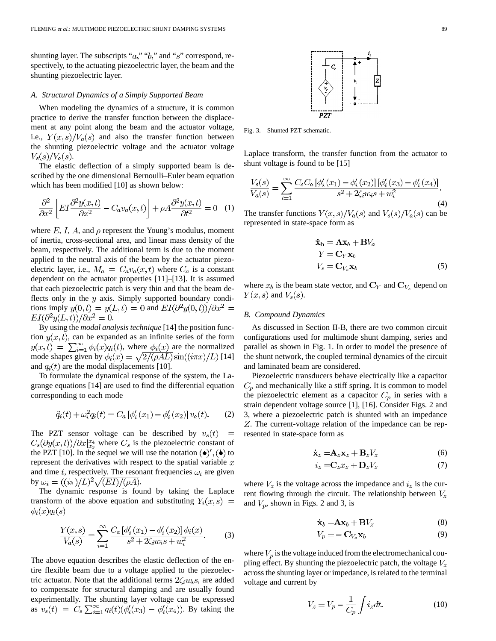shunting layer. The subscripts " $a$ ," " $b$ ," and " $s$ " correspond, respectively, to the actuating piezoelectric layer, the beam and the shunting piezoelectric layer.

#### *A. Structural Dynamics of a Simply Supported Beam*

When modeling the dynamics of a structure, it is common practice to derive the transfer function between the displacement at any point along the beam and the actuator voltage, i.e.,  $Y(x, s)/V_a(s)$  and also the transfer function between the shunting piezoelectric voltage and the actuator voltage  $V_s(s)/V_a(s)$ .

The elastic deflection of a simply supported beam is described by the one dimensional Bernoulli–Euler beam equation which has been modified [10] as shown below:

$$
\frac{\partial^2}{\partial x^2} \left[ EI \frac{\partial^2 y(x,t)}{\partial x^2} - C_a v_a(x,t) \right] + \rho A \frac{\partial^2 y(x,t)}{\partial t^2} = 0 \quad (1)
$$

where  $E, I, A$ , and  $\rho$  represent the Young's modulus, moment of inertia, cross-sectional area, and linear mass density of the beam, respectively. The additional term is due to the moment applied to the neutral axis of the beam by the actuator piezoelectric layer, i.e.,  $M_a = C_a v_a(x,t)$  where  $C_a$  is a constant dependent on the actuator properties [11]–[13]. It is assumed that each piezoelectric patch is very thin and that the beam deflects only in the  $y$  axis. Simply supported boundary conditions imply  $y(0,t) = y(L,t) = 0$  and  $EI(\partial^2 y(0,t))/\partial x^2 =$  $EI(\partial^2 y(L,t))/\partial x^2 = 0.$ 

By using the *modal analysis technique* [14] the position function  $y(x, t)$ , can be expanded as an infinite series of the form  $y(x,t) = \sum_{i=1}^{\infty} \phi_i(x) q_i(t)$ , where  $\phi_i(x)$  are the normalized mode shapes given by  $\phi_i(x) = \sqrt{2/(\rho A L)} \sin((i \pi x)/L)$  [14] and  $q_i(t)$  are the modal displacements [10].

To formulate the dynamical response of the system, the Lagrange equations [14] are used to find the differential equation corresponding to each mode

$$
\ddot{q}_i(t) + \omega_i^2 q_i(t) = C_a \left[ \phi_i'(x_1) - \phi_i'(x_2) \right] v_a(t). \tag{2}
$$

The PZT sensor voltage can be described by  $v_s(t)$  $\equiv$  $C_s(\partial y(x,t))/\partial x|_{x_3}^{x_4}$  where  $C_s$  is the piezoelectric constant of the PZT [10]. In the sequel we will use the notation  $(\bullet)'$ ,  $(\bullet)$  to represent the derivatives with respect to the spatial variable  $x$ and time t, respectively. The resonant frequencies  $\omega_i$  are given by  $\omega_i = ((i\pi)/L)^2 \sqrt{(EI)/(\rho A)}$ .

The dynamic response is found by taking the Laplace transform of the above equation and substituting  $Y_i(x, s) =$  $\phi_i(x)q_i(s)$ 

$$
\frac{Y(x,s)}{V_a(s)} = \sum_{i=1}^{\infty} \frac{C_a \left[ \phi_i'(x_1) - \phi_i'(x_2) \right] \phi_i(x)}{s^2 + 2\zeta_i w_i s + w_i^2}.
$$
 (3)

The above equation describes the elastic deflection of the entire flexible beam due to a voltage applied to the piezoelectric actuator. Note that the additional terms  $2\zeta_i w_i s$ , are added to compensate for structural damping and are usually found experimentally. The shunting layer voltage can be expressed as  $v_s(t) = C_s \sum_{i=1}^{\infty} q_i(t) (\phi'_i(x_3) - \phi'_i(x_4))$ . By taking the



Fig. 3. Shunted PZT schematic.

Laplace transform, the transfer function from the actuator to shunt voltage is found to be [15]

$$
\frac{V_s(s)}{V_a(s)} = \sum_{i=1}^{\infty} \frac{C_s C_a \left[ \phi_i'(x_1) - \phi_i'(x_2) \right] \left[ \phi_i'(x_3) - \phi_i'(x_4) \right]}{s^2 + 2\zeta_i w_i s + w_i^2}.
$$
\n(4)

The transfer functions  $Y(x, s)/V_a(s)$  and  $V_s(s)/V_a(s)$  can be represented in state-space form as

$$
\dot{\mathbf{x}}_{\mathbf{b}} = \mathbf{A}\mathbf{x}_{b} + \mathbf{B}V_{a}
$$
\n
$$
Y = \mathbf{C}_{Y}\mathbf{x}_{b}
$$
\n
$$
V_{s} = \mathbf{C}_{V_{s}}\mathbf{x}_{b}
$$
\n(5)

where  $x_b$  is the beam state vector, and  $\mathbf{C}_Y$  and  $\mathbf{C}_{V_s}$  depend on  $Y(x, s)$  and  $V_s(s)$ .

## *B. Compound Dynamics*

As discussed in Section II-B, there are two common circuit configurations used for multimode shunt damping, series and parallel as shown in Fig. 1. In order to model the presence of the shunt network, the coupled terminal dynamics of the circuit and laminated beam are considered.

Piezoelectric transducers behave electrically like a capacitor  $C_p$  and mechanically like a stiff spring. It is common to model the piezoelectric element as a capacitor  $C_p$  in series with a strain dependent voltage source [1], [16]. Consider Figs. 2 and 3, where a piezoelectric patch is shunted with an impedance . The current-voltage relation of the impedance can be represented in state-space form as

$$
\dot{\mathbf{x}}_z = \mathbf{A}_z \mathbf{x}_z + \mathbf{B}_z V_z \tag{6}
$$

$$
i_z = \mathbf{C}_z x_z + \mathbf{D}_z V_z \tag{7}
$$

where  $V_z$  is the voltage across the impedance and  $i_z$  is the current flowing through the circuit. The relationship between  $V_z$ and  $V_p$ , shown in Figs. 2 and 3, is

$$
\dot{\mathbf{x}}_b = \mathbf{A}\mathbf{x}_b + \mathbf{B}V_z \tag{8}
$$

$$
V_p = -\mathbf{C}_{V_s} \mathbf{x}_b \tag{9}
$$

where  $V_p$  is the voltage induced from the electromechanical coupling effect. By shunting the piezoelectric patch, the voltage  $V_z$ across the shunting layer or impedance, is related to the terminal voltage and current by

$$
V_z = V_p - \frac{1}{C_p} \int i_z dt.
$$
 (10)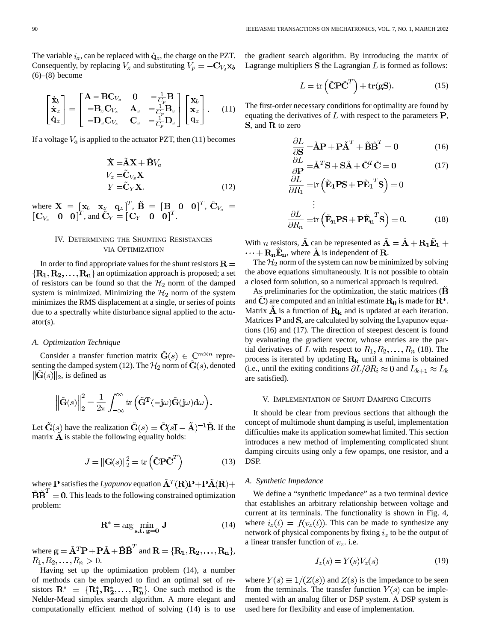The variable  $i_z$ , can be replaced with  $\dot{q}_z$ , the charge on the PZT. Consequently, by replacing  $V_z$  and substituting  $V_p = -\mathbf{C}_{V_s} \mathbf{x}_b$  $(6)$ – $(8)$  become

$$
\begin{bmatrix} \dot{\mathbf{x}}_b \\ \dot{\mathbf{x}}_z \\ \dot{\mathbf{q}}_z \end{bmatrix} = \begin{bmatrix} \mathbf{A} - \mathbf{B} \mathbf{C}_{V_s} & \mathbf{0} & -\frac{1}{C_p} \mathbf{B} \\ -\mathbf{B}_z \mathbf{C}_{V_s} & \mathbf{A}_z & -\frac{1}{C_p} \mathbf{B}_z \\ -\mathbf{D}_z \mathbf{C}_{V_s} & \mathbf{C}_z & -\frac{1}{C_p} \mathbf{D}_z \end{bmatrix} \begin{bmatrix} \mathbf{x}_b \\ \mathbf{x}_z \\ \mathbf{q}_z \end{bmatrix} . \quad (11)
$$

If a voltage  $V_a$  is applied to the actuator PZT, then (11) becomes

$$
\dot{\mathbf{X}} = \tilde{\mathbf{A}} \mathbf{X} + \tilde{\mathbf{B}} V_a
$$
\n
$$
V_z = \tilde{\mathbf{C}} V_s \mathbf{X}
$$
\n
$$
Y = \tilde{\mathbf{C}} Y \mathbf{X}.
$$
\n(12)

where  $\mathbf{X} = [\mathbf{x}_b \quad \mathbf{x}_z \quad \mathbf{q}_z]^T$ ,  $\mathbf{B} = [\mathbf{B} \quad \mathbf{0} \quad \mathbf{0}]^T$ , , and  $\mathbf{C}_Y = [\mathbf{C}_Y \quad \mathbf{0} \quad \mathbf{0}]^T$ .

## IV. DETERMINING THE SHUNTING RESISTANCES VIA OPTIMIZATION

In order to find appropriate values for the shunt resistors  $\mathbf{R} =$  $\{R_1, R_2, \ldots, R_n\}$  an optimization approach is proposed; a set of resistors can be found so that the  $\mathcal{H}_2$  norm of the damped system is minimized. Minimizing the  $H_2$  norm of the system minimizes the RMS displacement at a single, or series of points due to a spectrally white disturbance signal applied to the actuator(s).

## *A. Optimization Technique*

Consider a transfer function matrix  $\tilde{\mathbf{G}}(s) \in \mathbb{C}^{m \times n}$  representing the damped system (12). The  $\mathcal{H}_2$  norm of  $\mathbf{G}(s)$ , denoted  $\|\tilde{\mathbf{G}}(s)\|_2$ , is defined as

$$
\left\|\tilde{\mathbf{G}}(s)\right\|_2^2 = \frac{1}{2\pi} \int_{-\infty}^{\infty} \text{tr}\left(\tilde{\mathbf{G}}^{\mathbf{T}}(-\mathbf{j}\omega)\tilde{\mathbf{G}}(\mathbf{j}\omega)\mathrm{d}\omega\right).
$$

Let  $\mathbf{G}(s)$  have the realization  $\mathbf{\tilde{G}}(s) = \mathbf{\tilde{C}}(s\mathbf{I} - \mathbf{\tilde{A}})^{-1}\mathbf{\tilde{B}}$ . If the matrix  $\dot{A}$  is stable the following equality holds:

$$
J = ||\mathbf{G}(s)||_2^2 = \text{tr}\left(\tilde{\mathbf{C}}\mathbf{P}\tilde{\mathbf{C}}^T\right)
$$
 (13)

where **P** satisfies the *Lyapunov* equation  $\tilde{A}^T(\mathbf{R})\mathbf{P} + \mathbf{P}\tilde{A}(\mathbf{R}) +$  $\tilde{\mathbf{B}}\tilde{\mathbf{B}}^T = \mathbf{0}$ . This leads to the following constrained optimization problem:

$$
\mathbf{R}^* = \arg\min_{\mathbf{s}, \mathbf{t}, \mathbf{g} = \mathbf{0}} \mathbf{J} \tag{14}
$$

where  $\mathbf{g} = \tilde{\mathbf{A}}^T \mathbf{P} + \mathbf{P} \tilde{\mathbf{A}} + \tilde{\mathbf{B}} \tilde{\mathbf{B}}^T$  and  $\mathbf{R} = \{ \mathbf{R_1}, \mathbf{R_2}, \dots, \mathbf{R_n} \},$  $R_1, R_2, \ldots, R_n > 0.$ 

Having set up the optimization problem (14), a number of methods can be employed to find an optimal set of resistors  $\mathbf{R}^* = \{\mathbf{R}_1^*, \mathbf{R}_2^*, \dots, \mathbf{R}_n^*\}$ . One such method is the Nelder-Mead simplex search algorithm. A more elegant and computationally efficient method of solving (14) is to use the gradient search algorithm. By introducing the matrix of Lagrange multipliers  $S$  the Lagrangian  $L$  is formed as follows:

$$
L = \text{tr}\left(\tilde{\mathbf{C}}\mathbf{P}\tilde{\mathbf{C}}^T\right) + \text{tr}(\mathbf{g}\mathbf{S}).\tag{15}
$$

The first-order necessary conditions for optimality are found by equating the derivatives of  $L$  with respect to the parameters  $P$ ,  $S$ , and  $R$  to zero

$$
\frac{\partial L}{\partial \mathbf{S}} = \tilde{\mathbf{A}} \mathbf{P} + \mathbf{P} \tilde{\mathbf{A}}^T + \tilde{\mathbf{B}} \tilde{\mathbf{B}}^T = \mathbf{0}
$$
 (16)

$$
\frac{\partial L}{\partial \mathbf{P}} = \tilde{\mathbf{A}}^T \mathbf{S} + \mathbf{S} \tilde{\mathbf{A}} + \tilde{\mathbf{C}}^T \tilde{\mathbf{C}} = \mathbf{0}
$$
(17)  

$$
\frac{\partial L}{\partial R_1} = \text{tr} \left( \tilde{\mathbf{E}}_1 \mathbf{P} \mathbf{S} + \mathbf{P} \tilde{\mathbf{E}}_1^T \mathbf{S} \right) = 0
$$
  

$$
\vdots
$$

$$
\frac{\partial L}{\partial R_n} = \text{tr} \left( \tilde{\mathbf{E}}_n \mathbf{P} \mathbf{S} + \mathbf{P} \tilde{\mathbf{E}}_n^T \mathbf{S} \right) = 0.
$$
(18)

With *n* resistors,  $\tilde{A}$  can be represented as  $\tilde{A} = \hat{A} + R_1 \tilde{E}_1 + R_2 \tilde{E}_2$  $\cdots + R_n \dot{E}_n$ , where  $\hat{A}$  is independent of R.

The  $\mathcal{H}_2$  norm of the system can now be minimized by solving the above equations simultaneously. It is not possible to obtain a closed form solution, so a numerical approach is required.

As preliminaries for the optimization, the static matrices  $(B)$ and C) are computed and an initial estimate  $\mathbf{R}_{0}$  is made for  $\mathbf{R}^{*}$ . Matrix  $\dot{A}$  is a function of  $R_k$  and is updated at each iteration. Matrices  $P$  and  $S$ , are calculated by solving the Lyapunov equations (16) and (17). The direction of steepest descent is found by evaluating the gradient vector, whose entries are the partial derivatives of L with respect to  $R_1, R_2, \ldots, R_n$  (18). The process is iterated by updating  $R_k$  until a minima is obtained (i.e., until the exiting conditions  $\partial L/\partial R_i \approx 0$  and  $L_{k+1} \approx L_k$ are satisfied).

#### V. IMPLEMENTATION OF SHUNT DAMPING CIRCUITS

It should be clear from previous sections that although the concept of multimode shunt damping is useful, implementation difficulties make its application somewhat limited. This section introduces a new method of implementing complicated shunt damping circuits using only a few opamps, one resistor, and a DSP.

## *A. Synthetic Impedance*

We define a "synthetic impedance" as a two terminal device that establishes an arbitrary relationship between voltage and current at its terminals. The functionality is shown in Fig. 4, where  $i_z(t) = f(v_z(t))$ . This can be made to synthesize any network of physical components by fixing  $i_z$  to be the output of a linear transfer function of  $v_z$ . i.e.

$$
I_z(s) = Y(s)V_z(s)
$$
\n<sup>(19)</sup>

where  $Y(s) \equiv 1/(Z(s))$  and  $Z(s)$  is the impedance to be seen from the terminals. The transfer function  $Y(s)$  can be implemented with an analog filter or DSP system. A DSP system is used here for flexibility and ease of implementation.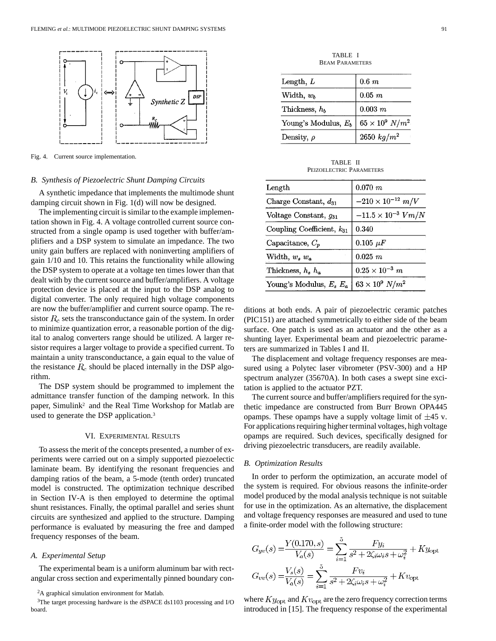

Fig. 4. Current source implementation.

#### *B. Synthesis of Piezoelectric Shunt Damping Circuits*

A synthetic impedance that implements the multimode shunt damping circuit shown in Fig. 1(d) will now be designed.

The implementing circuit is similar to the example implementation shown in Fig. 4. A voltage controlled current source constructed from a single opamp is used together with buffer/amplifiers and a DSP system to simulate an impedance. The two unity gain buffers are replaced with noninverting amplifiers of gain 1/10 and 10. This retains the functionality while allowing the DSP system to operate at a voltage ten times lower than that dealt with by the current source and buffer/amplifiers. A voltage protection device is placed at the input to the DSP analog to digital converter. The only required high voltage components are now the buffer/amplifier and current source opamp. The resistor  $R_c$  sets the transconductance gain of the system. In order to minimize quantization error, a reasonable portion of the digital to analog converters range should be utilized. A larger resistor requires a larger voltage to provide a specified current. To maintain a unity transconductance, a gain equal to the value of the resistance  $R_c$  should be placed internally in the DSP algorithm.

The DSP system should be programmed to implement the admittance transfer function of the damping network. In this paper, Simulink2 and the Real Time Workshop for Matlab are used to generate the DSP application.3

#### VI. EXPERIMENTAL RESULTS

To assess the merit of the concepts presented, a number of experiments were carried out on a simply supported piezoelectic laminate beam. By identifying the resonant frequencies and damping ratios of the beam, a 5-mode (tenth order) truncated model is constructed. The optimization technique described in Section IV-A is then employed to determine the optimal shunt resistances. Finally, the optimal parallel and series shunt circuits are synthesized and applied to the structure. Damping performance is evaluated by measuring the free and damped frequency responses of the beam.

### *A. Experimental Setup*

The experimental beam is a uniform aluminum bar with rectangular cross section and experimentally pinned boundary con-

TABLE I BEAM PARAMETERS

| Length, $L$            | $0.6\;m$                |
|------------------------|-------------------------|
| Width, $w_b$           | 0.05~m                  |
| Thickness, $h_b$       | $0.003$ $m$             |
| Young's Modulus, $E_b$ | $65\times10^9\,\,N/m^2$ |
| Density, $\rho$        | 2650 $kg/m^2$           |

TABLE II PEIZOELECTRIC PARAMETERS

| Length                         | 0.070~m                     |
|--------------------------------|-----------------------------|
| Charge Constant, $d_{31}$      | $-210 \times 10^{-12}$ m/V  |
| Voltage Constant, $q_{31}$     | $-11.5 \times 10^{-3} Vm/N$ |
| Coupling Coefficient, $k_{31}$ | 0.340                       |
| Capacitance, $C_p$             | $0.105~\mu F$               |
| Width, $w_s w_a$               | $0.025$ $m$                 |
| Thickness, $h_s h_a$           | $0.25\times10^{-3}$ $m$     |
| Young's Modulus, $E_s E_a$     | $63\times10^9$ $N/m^2$      |

ditions at both ends. A pair of piezoelectric ceramic patches (PIC151) are attached symmetrically to either side of the beam surface. One patch is used as an actuator and the other as a shunting layer. Experimental beam and piezoelectric parameters are summarized in Tables I and II.

The displacement and voltage frequency responses are measured using a Polytec laser vibrometer (PSV-300) and a HP spectrum analyzer (35670A). In both cases a swept sine excitation is applied to the actuator PZT.

The current source and buffer/amplifiers required for the synthetic impedance are constructed from Burr Brown OPA445 opamps. These opamps have a supply voltage limit of  $\pm 45$  v. For applications requiring higher terminal voltages, high voltage opamps are required. Such devices, specifically designed for driving piezoelectric transducers, are readily available.

#### *B. Optimization Results*

In order to perform the optimization, an accurate model of the system is required. For obvious reasons the infinite-order model produced by the modal analysis technique is not suitable for use in the optimization. As an alternative, the displacement and voltage frequency responses are measured and used to tune a finite-order model with the following structure:

$$
G_{yv}(s) = \frac{Y(0.170, s)}{V_a(s)} = \sum_{i=1}^{5} \frac{F y_i}{s^2 + 2\zeta_i \omega_i s + \omega_i^2} + Ky_{\text{opt}}
$$

$$
G_{vv}(s) = \frac{V_s(s)}{V_a(s)} = \sum_{i=1}^{5} \frac{F v_i}{s^2 + 2\zeta_i \omega_i s + \omega_i^2} + Kv_{\text{opt}}
$$

where  $Ky_{opt}$  and  $Kv_{opt}$  are the zero frequency correction terms introduced in [15]. The frequency response of the experimental

<sup>2</sup>A graphical simulation environment for Matlab.

<sup>3</sup>The target processing hardware is the dSPACE ds1103 processing and I/O board.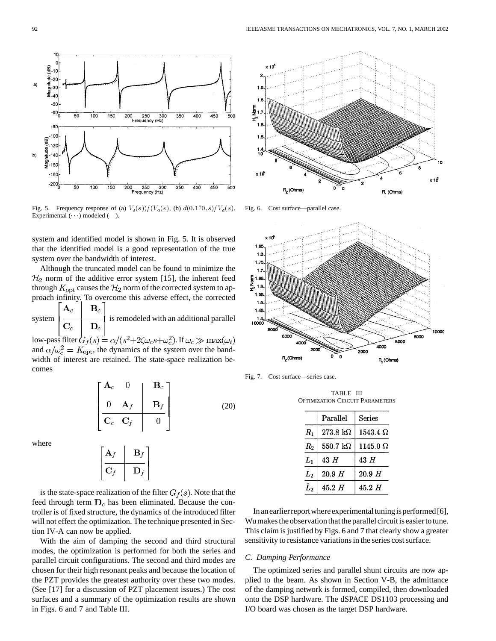

Fig. 5. Frequency response of (a)  $V_s(s)/(V_a(s),$  (b)  $d(0.170, s)/V_a(s)$ .<br>Experimental ( $\cdots$ ) modeled (—).

system and identified model is shown in Fig. 5. It is observed that the identified model is a good representation of the true system over the bandwidth of interest.

Although the truncated model can be found to minimize the  $\mathcal{H}_2$  norm of the additive error system [15], the inherent feed through  $K_{\text{opt}}$  causes the  $\mathcal{H}_2$  norm of the corrected system to approach infinity. To overcome this adverse effect, the corrected

 $\mathbf{B}_c$  $A_{c}$ system  $\overline{\left\vert \mathbf{C}_c \right\vert \mathbf{D}_c}$  is remodeled with an additional parallel

low-pass filter  $G_f(s) = \alpha/(s^2+2\zeta\omega_c s+\omega_c^2)$ . If  $\omega_c \gg \max(\omega_i)$ and  $\alpha/\omega_c^2 = K_{\rm opt}$ , the dynamics of the system over the bandwidth of interest are retained. The state-space realization becomes

$$
\begin{bmatrix}\n\mathbf{A}_c & 0 & \mathbf{B}_c \\
0 & \mathbf{A}_f & \mathbf{B}_f \\
\hline\n\mathbf{C}_c & \mathbf{C}_f & 0\n\end{bmatrix}
$$
\n(20)

where

$$
\left\lceil \frac{\mathbf{A}_f \qquad \mathbf{B}_f}{\mathbf{C}_f \qquad \mathbf{D}_f} \right\rceil
$$

is the state-space realization of the filter  $G_f(s)$ . Note that the feed through term  $D_c$  has been eliminated. Because the controller is of fixed structure, the dynamics of the introduced filter will not effect the optimization. The technique presented in Section IV-A can now be applied.

With the aim of damping the second and third structural modes, the optimization is performed for both the series and parallel circuit configurations. The second and third modes are chosen for their high resonant peaks and because the location of the PZT provides the greatest authority over these two modes. (See [17] for a discussion of PZT placement issues.) The cost surfaces and a summary of the optimization results are shown in Figs. 6 and 7 and Table III.



Fig. 6. Cost surface—parallel case.



Fig. 7. Cost surface—series case.

TABLE III OPTIMIZATION CIRCUIT PARAMETERS

|             | Parallel                   | Series          |  |
|-------------|----------------------------|-----------------|--|
| $R_1$       | $273.8\; \mathrm{k}\Omega$ | $1543.4~\Omega$ |  |
| $R_{2}$     | 550.7 $k\Omega$            | $1145.0~\Omega$ |  |
| $L_1$       | 43 H                       | 43 H            |  |
| $L_2$       | 20.9H                      | 20.9H           |  |
| $\hat{L}_2$ | $45.2\ H$                  | 45.2 H          |  |

In an earlier report where experimental tuning is performed [6], Wumakes the observation that the parallel circuit is easier to tune. This claim is justified by Figs. 6 and 7 that clearly show a greater sensitivity to resistance variations in the series cost surface.

## *C. Damping Performance*

The optimized series and parallel shunt circuits are now applied to the beam. As shown in Section V-B, the admittance of the damping network is formed, compiled, then downloaded onto the DSP hardware. The dSPACE DS1103 processing and I/O board was chosen as the target DSP hardware.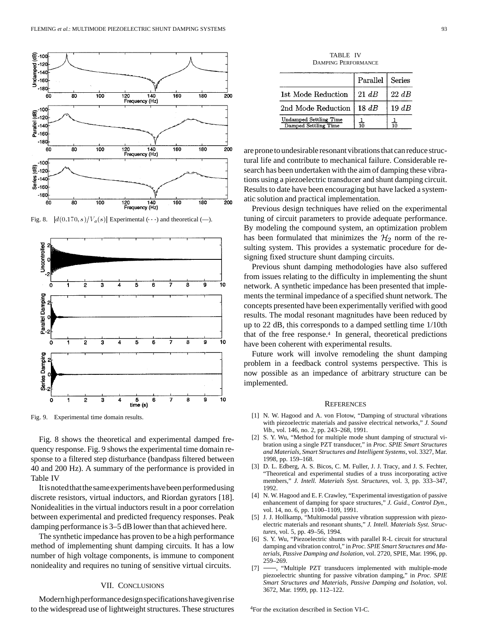

Fig. 8.  $|d(0.170, s)/V_a(s)|$  Experimental ( $\cdots$ ) and theoretical (--).



Fig. 9. Experimental time domain results.

Fig. 8 shows the theoretical and experimental damped frequency response. Fig. 9 shows the experimental time domain response to a filtered step disturbance (bandpass filtered between 40 and 200 Hz). A summary of the performance is provided in Table IV

Itisnotedthatthesameexperimentshavebeenperformedusing discrete resistors, virtual inductors, and Riordan gyrators [18]. Nonidealities in the virtual inductors result in a poor correlation between experimental and predicted frequency responses. Peak damping performance is 3–5 dB lower than that achieved here.

The synthetic impedance has proven to be a high performance method of implementing shunt damping circuits. It has a low number of high voltage components, is immune to component nonideality and requires no tuning of sensitive virtual circuits.

#### VII. CONCLUSIONS

Modernhighperformancedesignspecificationshavegivenrise to the widespread use of lightweight structures. These structures

TABLE IV DAMPING PERFORMANCE

|                                                | Parallel   | Series     |
|------------------------------------------------|------------|------------|
| 1st Mode Reduction                             | $21 \; dB$ | $22 \; dB$ |
| 2nd Mode Reduction                             | 18dB       | $19 \; dB$ |
| Undamped Settling Time<br>Damped Settling Time | īñ         |            |

are prone to undesirable resonant vibrations that can reduce structural life and contribute to mechanical failure. Considerable research has been undertaken with the aim of damping these vibrations using a piezoelectric transducer and shunt damping circuit. Results to date have been encouraging but have lacked a systematic solution and practical implementation.

Previous design techniques have relied on the experimental tuning of circuit parameters to provide adequate performance. By modeling the compound system, an optimization problem has been formulated that minimizes the  $H_2$  norm of the resulting system. This provides a systematic procedure for designing fixed structure shunt damping circuits.

Previous shunt damping methodologies have also suffered from issues relating to the difficulty in implementing the shunt network. A synthetic impedance has been presented that implements the terminal impedance of a specified shunt network. The concepts presented have been experimentally verified with good results. The modal resonant magnitudes have been reduced by up to 22 dB, this corresponds to a damped settling time 1/10th that of the free response.4 In general, theoretical predictions have been coherent with experimental results.

Future work will involve remodeling the shunt damping problem in a feedback control systems perspective. This is now possible as an impedance of arbitrary structure can be implemented.

#### **REFERENCES**

- [1] N. W. Hagood and A. von Flotow, "Damping of structural vibrations with piezoelectric materials and passive electrical networks," *J. Sound Vib.*, vol. 146, no. 2, pp. 243–268, 1991.
- [2] S. Y. Wu, "Method for multiple mode shunt damping of structural vibration using a single PZT transducer," in *Proc. SPIE Smart Structures and Materials, Smart Structures and Intelligent Systems*, vol. 3327, Mar. 1998, pp. 159–168.
- [3] D. L. Edberg, A. S. Bicos, C. M. Fuller, J. J. Tracy, and J. S. Fechter, "Theoretical and experimental studies of a truss incorporating active members," *J. Intell. Materials Syst. Structures*, vol. 3, pp. 333–347, 1992.
- [4] N. W. Hagood and E. F. Crawley, "Experimental investigation of passive enhancement of damping for space structures," *J. Guid., Control Dyn.*, vol. 14, no. 6, pp. 1100–1109, 1991.
- [5] J. J. Hollkamp, "Multimodal passive vibration suppression with piezoelectric materials and resonant shunts," *J. Intell. Materials Syst. Structures*, vol. 5, pp. 49–56, 1994.
- [6] S. Y. Wu, "Piezoelectric shunts with parallel R-L circuit for structural damping and vibration control," in *Proc. SPIE Smart Structures and Materials, Passive Damping and Isolation*, vol. 2720, SPIE, Mar. 1996, pp. 259–269.
- [7] -, "Multiple PZT transducers implemented with multiple-mode piezoelectric shunting for passive vibration damping," in *Proc. SPIE Smart Structures and Materials, Passive Damping and Isolation*, vol. 3672, Mar. 1999, pp. 112–122.

4For the excitation described in Section VI-C.